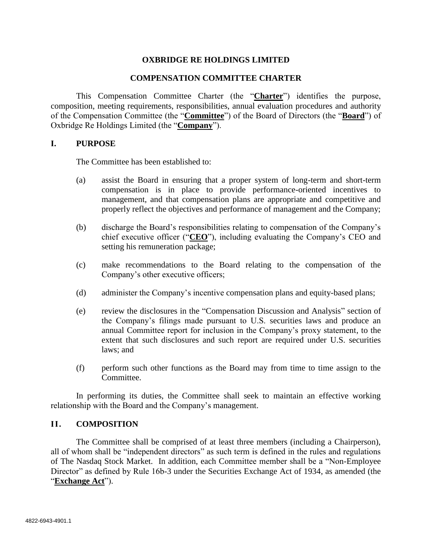# **OXBRIDGE RE HOLDINGS LIMITED**

#### **COMPENSATION COMMITTEE CHARTER**

This Compensation Committee Charter (the "**Charter**") identifies the purpose, composition, meeting requirements, responsibilities, annual evaluation procedures and authority of the Compensation Committee (the "**Committee**") of the Board of Directors (the "**Board**") of Oxbridge Re Holdings Limited (the "**Company**").

#### **I. PURPOSE**

The Committee has been established to:

- (a) assist the Board in ensuring that a proper system of long-term and short-term compensation is in place to provide performance-oriented incentives to management, and that compensation plans are appropriate and competitive and properly reflect the objectives and performance of management and the Company;
- (b) discharge the Board's responsibilities relating to compensation of the Company's chief executive officer ("**CEO**"), including evaluating the Company's CEO and setting his remuneration package;
- (c) make recommendations to the Board relating to the compensation of the Company's other executive officers;
- (d) administer the Company's incentive compensation plans and equity-based plans;
- (e) review the disclosures in the "Compensation Discussion and Analysis" section of the Company's filings made pursuant to U.S. securities laws and produce an annual Committee report for inclusion in the Company's proxy statement, to the extent that such disclosures and such report are required under U.S. securities laws; and
- (f) perform such other functions as the Board may from time to time assign to the Committee.

In performing its duties, the Committee shall seek to maintain an effective working relationship with the Board and the Company's management.

## **II. COMPOSITION**

The Committee shall be comprised of at least three members (including a Chairperson), all of whom shall be "independent directors" as such term is defined in the rules and regulations of The Nasdaq Stock Market. In addition, each Committee member shall be a "Non-Employee Director" as defined by Rule 16b-3 under the Securities Exchange Act of 1934, as amended (the "**Exchange Act**").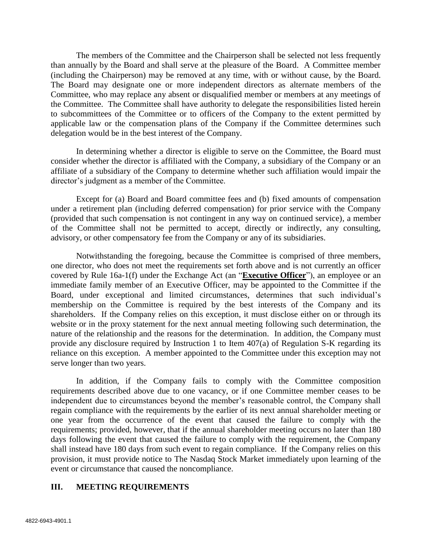The members of the Committee and the Chairperson shall be selected not less frequently than annually by the Board and shall serve at the pleasure of the Board. A Committee member (including the Chairperson) may be removed at any time, with or without cause, by the Board. The Board may designate one or more independent directors as alternate members of the Committee, who may replace any absent or disqualified member or members at any meetings of the Committee. The Committee shall have authority to delegate the responsibilities listed herein to subcommittees of the Committee or to officers of the Company to the extent permitted by applicable law or the compensation plans of the Company if the Committee determines such delegation would be in the best interest of the Company.

In determining whether a director is eligible to serve on the Committee, the Board must consider whether the director is affiliated with the Company, a subsidiary of the Company or an affiliate of a subsidiary of the Company to determine whether such affiliation would impair the director's judgment as a member of the Committee.

Except for (a) Board and Board committee fees and (b) fixed amounts of compensation under a retirement plan (including deferred compensation) for prior service with the Company (provided that such compensation is not contingent in any way on continued service), a member of the Committee shall not be permitted to accept, directly or indirectly, any consulting, advisory, or other compensatory fee from the Company or any of its subsidiaries.

Notwithstanding the foregoing, because the Committee is comprised of three members, one director, who does not meet the requirements set forth above and is not currently an officer covered by Rule 16a-1(f) under the Exchange Act (an "**Executive Officer**"), an employee or an immediate family member of an Executive Officer, may be appointed to the Committee if the Board, under exceptional and limited circumstances, determines that such individual's membership on the Committee is required by the best interests of the Company and its shareholders. If the Company relies on this exception, it must disclose either on or through its website or in the proxy statement for the next annual meeting following such determination, the nature of the relationship and the reasons for the determination. In addition, the Company must provide any disclosure required by Instruction 1 to Item 407(a) of Regulation S-K regarding its reliance on this exception. A member appointed to the Committee under this exception may not serve longer than two years.

In addition, if the Company fails to comply with the Committee composition requirements described above due to one vacancy, or if one Committee member ceases to be independent due to circumstances beyond the member's reasonable control, the Company shall regain compliance with the requirements by the earlier of its next annual shareholder meeting or one year from the occurrence of the event that caused the failure to comply with the requirements; provided, however, that if the annual shareholder meeting occurs no later than 180 days following the event that caused the failure to comply with the requirement, the Company shall instead have 180 days from such event to regain compliance. If the Company relies on this provision, it must provide notice to The Nasdaq Stock Market immediately upon learning of the event or circumstance that caused the noncompliance.

## **III. MEETING REQUIREMENTS**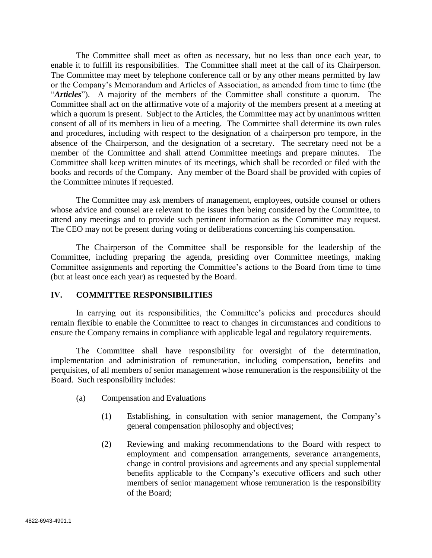The Committee shall meet as often as necessary, but no less than once each year, to enable it to fulfill its responsibilities. The Committee shall meet at the call of its Chairperson. The Committee may meet by telephone conference call or by any other means permitted by law or the Company's Memorandum and Articles of Association, as amended from time to time (the "*Articles*"). A majority of the members of the Committee shall constitute a quorum. The Committee shall act on the affirmative vote of a majority of the members present at a meeting at which a quorum is present. Subject to the Articles, the Committee may act by unanimous written consent of all of its members in lieu of a meeting. The Committee shall determine its own rules and procedures, including with respect to the designation of a chairperson pro tempore, in the absence of the Chairperson, and the designation of a secretary. The secretary need not be a member of the Committee and shall attend Committee meetings and prepare minutes. The Committee shall keep written minutes of its meetings, which shall be recorded or filed with the books and records of the Company. Any member of the Board shall be provided with copies of the Committee minutes if requested.

The Committee may ask members of management, employees, outside counsel or others whose advice and counsel are relevant to the issues then being considered by the Committee, to attend any meetings and to provide such pertinent information as the Committee may request. The CEO may not be present during voting or deliberations concerning his compensation.

The Chairperson of the Committee shall be responsible for the leadership of the Committee, including preparing the agenda, presiding over Committee meetings, making Committee assignments and reporting the Committee's actions to the Board from time to time (but at least once each year) as requested by the Board.

# **IV. COMMITTEE RESPONSIBILITIES**

In carrying out its responsibilities, the Committee's policies and procedures should remain flexible to enable the Committee to react to changes in circumstances and conditions to ensure the Company remains in compliance with applicable legal and regulatory requirements.

The Committee shall have responsibility for oversight of the determination, implementation and administration of remuneration, including compensation, benefits and perquisites, of all members of senior management whose remuneration is the responsibility of the Board. Such responsibility includes:

- (a) Compensation and Evaluations
	- (1) Establishing, in consultation with senior management, the Company's general compensation philosophy and objectives;
	- (2) Reviewing and making recommendations to the Board with respect to employment and compensation arrangements, severance arrangements, change in control provisions and agreements and any special supplemental benefits applicable to the Company's executive officers and such other members of senior management whose remuneration is the responsibility of the Board;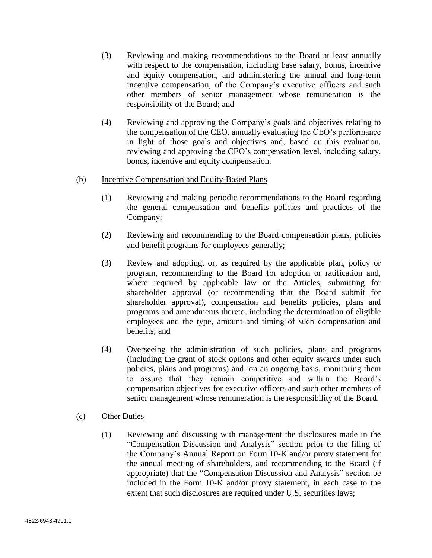- (3) Reviewing and making recommendations to the Board at least annually with respect to the compensation, including base salary, bonus, incentive and equity compensation, and administering the annual and long-term incentive compensation, of the Company's executive officers and such other members of senior management whose remuneration is the responsibility of the Board; and
- (4) Reviewing and approving the Company's goals and objectives relating to the compensation of the CEO, annually evaluating the CEO's performance in light of those goals and objectives and, based on this evaluation, reviewing and approving the CEO's compensation level, including salary, bonus, incentive and equity compensation.

## (b) Incentive Compensation and Equity-Based Plans

- (1) Reviewing and making periodic recommendations to the Board regarding the general compensation and benefits policies and practices of the Company;
- (2) Reviewing and recommending to the Board compensation plans, policies and benefit programs for employees generally;
- (3) Review and adopting, or, as required by the applicable plan, policy or program, recommending to the Board for adoption or ratification and, where required by applicable law or the Articles, submitting for shareholder approval (or recommending that the Board submit for shareholder approval), compensation and benefits policies, plans and programs and amendments thereto, including the determination of eligible employees and the type, amount and timing of such compensation and benefits; and
- (4) Overseeing the administration of such policies, plans and programs (including the grant of stock options and other equity awards under such policies, plans and programs) and, on an ongoing basis, monitoring them to assure that they remain competitive and within the Board's compensation objectives for executive officers and such other members of senior management whose remuneration is the responsibility of the Board.

## (c) Other Duties

(1) Reviewing and discussing with management the disclosures made in the "Compensation Discussion and Analysis" section prior to the filing of the Company's Annual Report on Form 10-K and/or proxy statement for the annual meeting of shareholders, and recommending to the Board (if appropriate) that the "Compensation Discussion and Analysis" section be included in the Form 10-K and/or proxy statement, in each case to the extent that such disclosures are required under U.S. securities laws;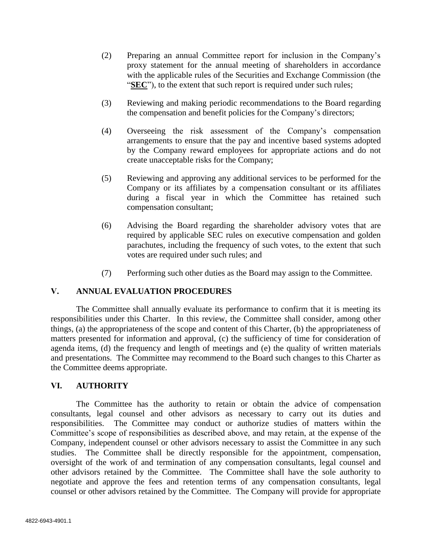- (2) Preparing an annual Committee report for inclusion in the Company's proxy statement for the annual meeting of shareholders in accordance with the applicable rules of the Securities and Exchange Commission (the "**SEC**"), to the extent that such report is required under such rules;
- (3) Reviewing and making periodic recommendations to the Board regarding the compensation and benefit policies for the Company's directors;
- (4) Overseeing the risk assessment of the Company's compensation arrangements to ensure that the pay and incentive based systems adopted by the Company reward employees for appropriate actions and do not create unacceptable risks for the Company;
- (5) Reviewing and approving any additional services to be performed for the Company or its affiliates by a compensation consultant or its affiliates during a fiscal year in which the Committee has retained such compensation consultant;
- (6) Advising the Board regarding the shareholder advisory votes that are required by applicable SEC rules on executive compensation and golden parachutes, including the frequency of such votes, to the extent that such votes are required under such rules; and
- (7) Performing such other duties as the Board may assign to the Committee.

## **V. ANNUAL EVALUATION PROCEDURES**

The Committee shall annually evaluate its performance to confirm that it is meeting its responsibilities under this Charter. In this review, the Committee shall consider, among other things, (a) the appropriateness of the scope and content of this Charter, (b) the appropriateness of matters presented for information and approval, (c) the sufficiency of time for consideration of agenda items, (d) the frequency and length of meetings and (e) the quality of written materials and presentations. The Committee may recommend to the Board such changes to this Charter as the Committee deems appropriate.

## **VI. AUTHORITY**

The Committee has the authority to retain or obtain the advice of compensation consultants, legal counsel and other advisors as necessary to carry out its duties and responsibilities. The Committee may conduct or authorize studies of matters within the Committee's scope of responsibilities as described above, and may retain, at the expense of the Company, independent counsel or other advisors necessary to assist the Committee in any such studies. The Committee shall be directly responsible for the appointment, compensation, oversight of the work of and termination of any compensation consultants, legal counsel and other advisors retained by the Committee. The Committee shall have the sole authority to negotiate and approve the fees and retention terms of any compensation consultants, legal counsel or other advisors retained by the Committee. The Company will provide for appropriate